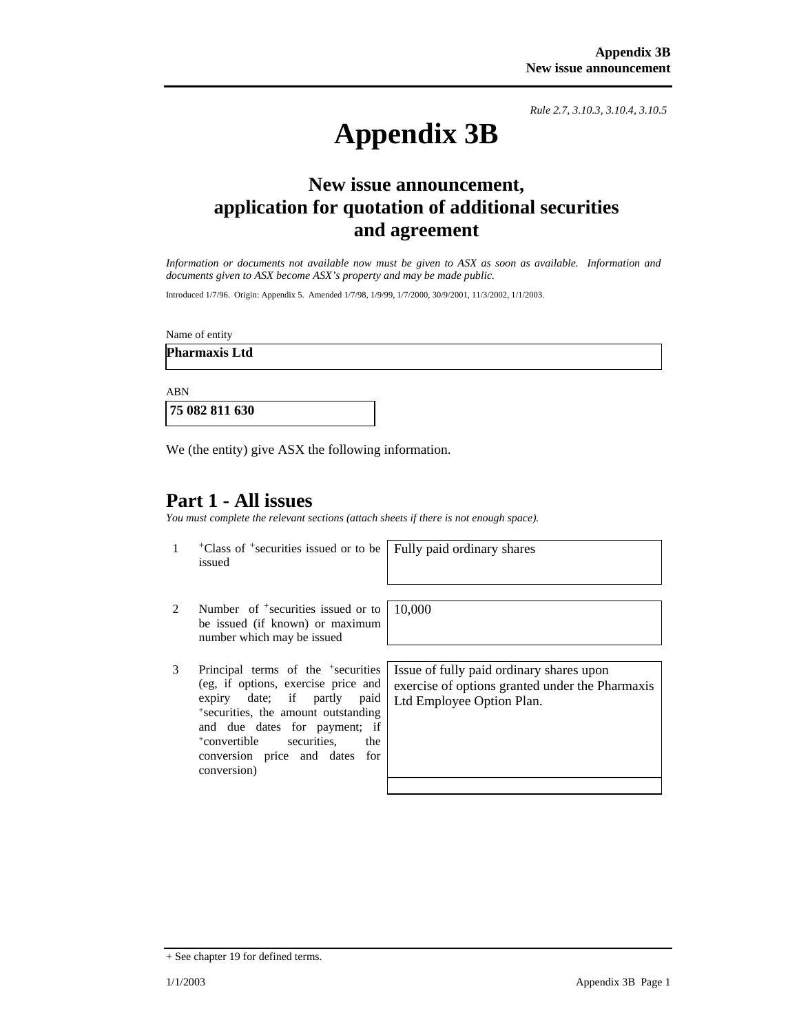*Rule 2.7, 3.10.3, 3.10.4, 3.10.5*

# **Appendix 3B**

## **New issue announcement, application for quotation of additional securities and agreement**

*Information or documents not available now must be given to ASX as soon as available. Information and documents given to ASX become ASX's property and may be made public.* 

Introduced 1/7/96. Origin: Appendix 5. Amended 1/7/98, 1/9/99, 1/7/2000, 30/9/2001, 11/3/2002, 1/1/2003.

Name of entity

**Pharmaxis Ltd** 

ABN

 **75 082 811 630** 

We (the entity) give ASX the following information.

### **Part 1 - All issues**

*You must complete the relevant sections (attach sheets if there is not enough space).*

1 +Class of +securities issued or to be issued

Fully paid ordinary shares

10,000

- 2 Number of <sup>+</sup>securities issued or to be issued (if known) or maximum number which may be issued
- 3 Principal terms of the +securities (eg, if options, exercise price and expiry date; if partly paid +securities, the amount outstanding and due dates for payment; if +convertible securities, the conversion price and dates for conversion)

Issue of fully paid ordinary shares upon exercise of options granted under the Pharmaxis Ltd Employee Option Plan.

<sup>+</sup> See chapter 19 for defined terms.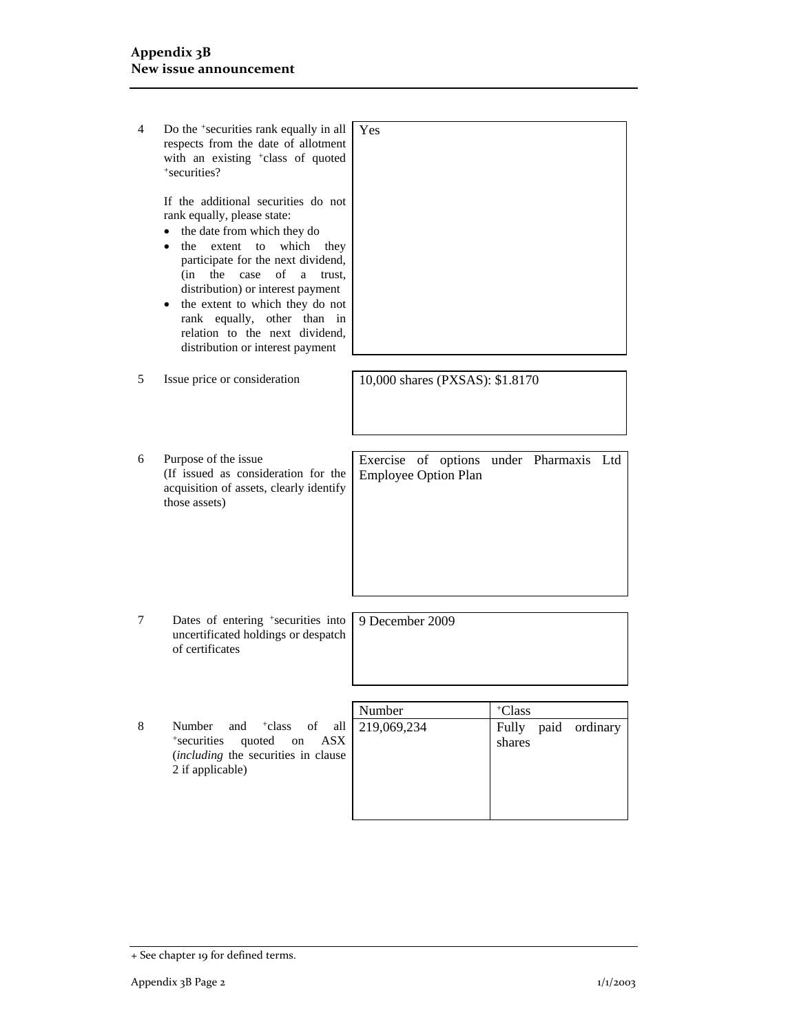| 4 | Do the +securities rank equally in all<br>respects from the date of allotment<br>with an existing <sup>+</sup> class of quoted<br>*securities?                                                                                                                                                                                                                                                                                   | Yes                                                                    |
|---|----------------------------------------------------------------------------------------------------------------------------------------------------------------------------------------------------------------------------------------------------------------------------------------------------------------------------------------------------------------------------------------------------------------------------------|------------------------------------------------------------------------|
|   | If the additional securities do not<br>rank equally, please state:<br>the date from which they do<br>$\bullet$<br>the extent to<br>which<br>they<br>$\bullet$<br>participate for the next dividend,<br>(in<br>the<br>case<br>of<br>a<br>trust.<br>distribution) or interest payment<br>the extent to which they do not<br>٠<br>rank equally, other than in<br>relation to the next dividend,<br>distribution or interest payment |                                                                        |
| 5 | Issue price or consideration                                                                                                                                                                                                                                                                                                                                                                                                     | 10,000 shares (PXSAS): \$1.8170                                        |
|   |                                                                                                                                                                                                                                                                                                                                                                                                                                  |                                                                        |
| 6 | Purpose of the issue<br>(If issued as consideration for the<br>acquisition of assets, clearly identify<br>those assets)                                                                                                                                                                                                                                                                                                          | Exercise of options under Pharmaxis Ltd<br><b>Employee Option Plan</b> |
|   |                                                                                                                                                                                                                                                                                                                                                                                                                                  |                                                                        |
| 7 | Dates of entering <sup>+</sup> securities into<br>uncertificated holdings or despatch<br>of certificates                                                                                                                                                                                                                                                                                                                         | 9 December 2009                                                        |
|   |                                                                                                                                                                                                                                                                                                                                                                                                                                  |                                                                        |
|   |                                                                                                                                                                                                                                                                                                                                                                                                                                  | Number<br><sup>+</sup> Class                                           |
| 8 | Number<br>and<br><sup>+</sup> class<br>of<br>all<br>quoted<br>*securities<br><b>ASX</b><br>on<br>(including the securities in clause<br>2 if applicable)                                                                                                                                                                                                                                                                         | 219,069,234<br>Fully<br>paid<br>ordinary<br>shares                     |
|   |                                                                                                                                                                                                                                                                                                                                                                                                                                  |                                                                        |

<sup>+</sup> See chapter 19 for defined terms.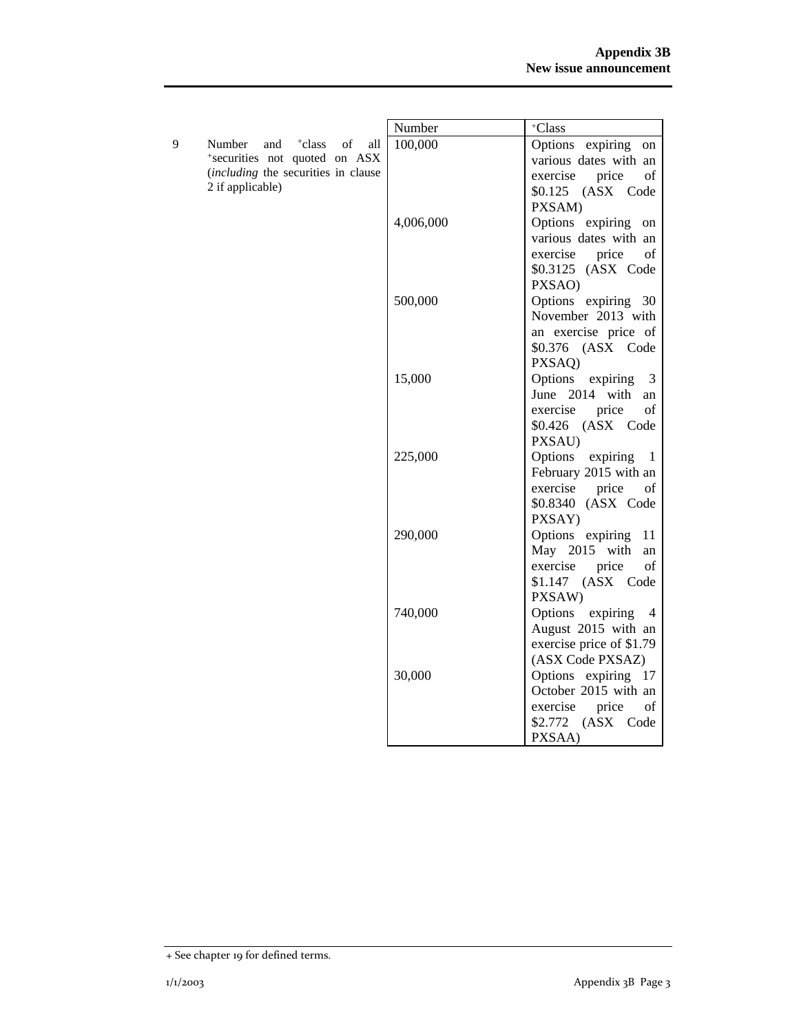|   |                                               | Number    | +Class                    |
|---|-----------------------------------------------|-----------|---------------------------|
| 9 | and <sup>+</sup> class<br>of<br>Number<br>all | 100,000   | Options expiring<br>on    |
|   | *securities not quoted on ASX                 |           | various dates with an     |
|   | (including the securities in clause           |           | of<br>exercise<br>price   |
|   | 2 if applicable)                              |           | \$0.125 (ASX Code         |
|   |                                               |           | PXSAM)                    |
|   |                                               | 4,006,000 | Options expiring on       |
|   |                                               |           | various dates with an     |
|   |                                               |           | exercise<br>price<br>of   |
|   |                                               |           | \$0.3125 (ASX Code        |
|   |                                               |           | PXSAO)                    |
|   |                                               | 500,000   | Options expiring 30       |
|   |                                               |           | November 2013 with        |
|   |                                               |           | an exercise price of      |
|   |                                               |           | \$0.376 (ASX Code         |
|   |                                               |           | PXSAQ)                    |
|   |                                               | 15,000    | Options expiring<br>3     |
|   |                                               |           | June 2014 with<br>an      |
|   |                                               |           | of<br>exercise price      |
|   |                                               |           | \$0.426 (ASX Code         |
|   |                                               |           | PXSAU)                    |
|   |                                               | 225,000   | Options<br>expiring<br>-1 |
|   |                                               |           | February 2015 with an     |
|   |                                               |           | exercise<br>price<br>οf   |
|   |                                               |           | \$0.8340 (ASX Code        |
|   |                                               |           | PXSAY)                    |
|   |                                               | 290,000   | Options expiring 11       |
|   |                                               |           | May 2015 with<br>an       |
|   |                                               |           | exercise price<br>of      |
|   |                                               |           | \$1.147 (ASX Code         |
|   |                                               |           | PXSAW)                    |
|   |                                               | 740,000   | Options expiring<br>-4    |
|   |                                               |           | August 2015 with an       |
|   |                                               |           | exercise price of \$1.79  |
|   |                                               |           | (ASX Code PXSAZ)          |
|   |                                               | 30,000    | Options expiring 17       |
|   |                                               |           | October 2015 with an      |
|   |                                               |           | exercise<br>price<br>of   |
|   |                                               |           | \$2.772 (ASX Code         |
|   |                                               |           | PXSAA)                    |

<sup>+</sup> See chapter 19 for defined terms.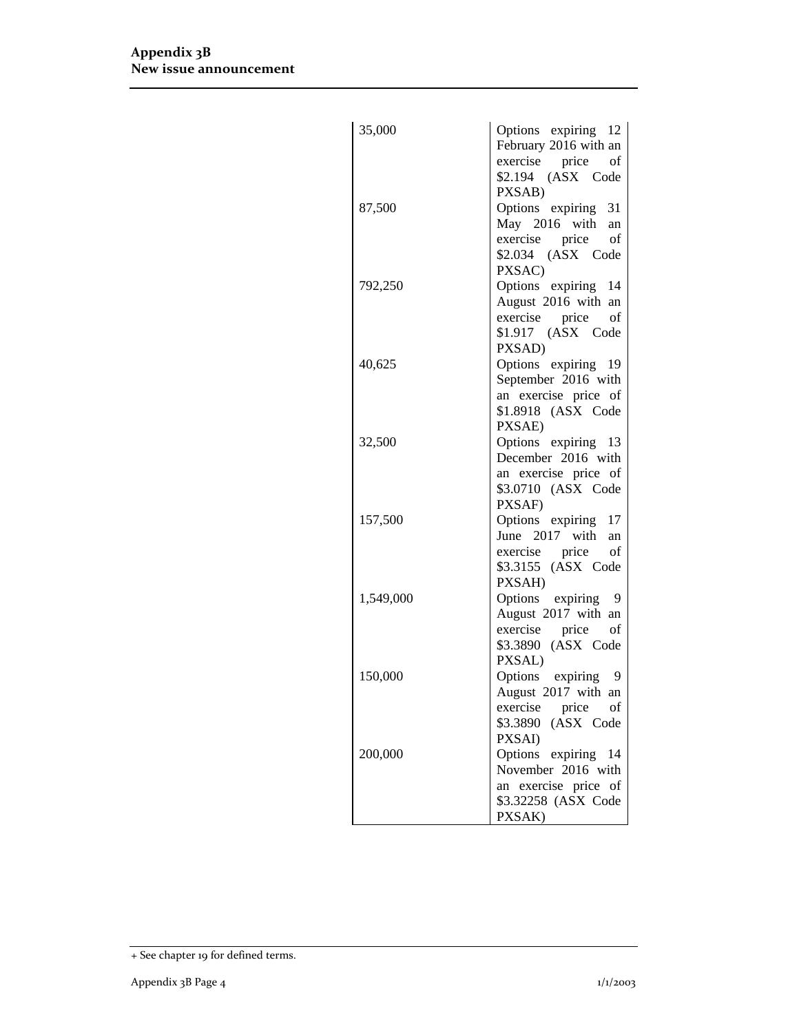| 35,000    | Options expiring 12<br>February 2016 with an<br>exercise price of<br>\$2.194 (ASX Code                      |
|-----------|-------------------------------------------------------------------------------------------------------------|
| 87,500    | PXSAB)<br>Options expiring 31<br>May 2016 with an<br>exercise price<br>of<br>\$2.034 (ASX Code              |
| 792,250   | PXSAC)<br>Options expiring 14<br>August 2016 with an<br>exercise price of<br>\$1.917 (ASX Code              |
| 40,625    | PXSAD)<br>Options expiring 19<br>September 2016 with<br>an exercise price of<br>\$1.8918 (ASX Code          |
| 32,500    | PXSAE)<br>Options expiring 13<br>December 2016 with<br>an exercise price of<br>\$3.0710 (ASX Code           |
| 157,500   | PXSAF)<br>Options expiring 17<br>June 2017 with<br>an<br>exercise price<br>of<br>\$3.3155 (ASX Code         |
| 1,549,000 | PXSAH)<br>Options expiring 9<br>August 2017 with an<br>exercise price<br>of<br>\$3.3890 (ASX Code           |
| 150,000   | PXSAL)<br>Options expiring 9<br>August 2017 with an<br>exercise price<br>of<br>\$3.3890 (ASX Code<br>PXSAI) |
| 200,000   | Options expiring 14<br>November 2016 with<br>an exercise price of<br>\$3.32258 (ASX Code<br>PXSAK)          |

<sup>+</sup> See chapter 19 for defined terms.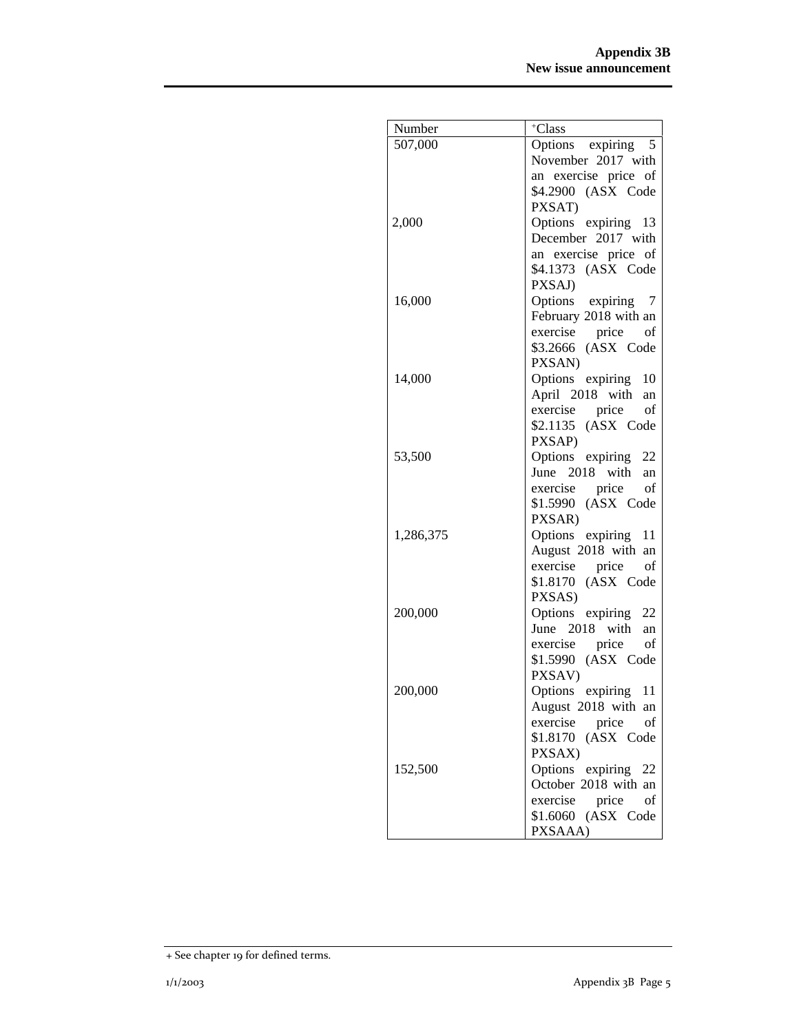| Number    | +Class                                     |
|-----------|--------------------------------------------|
| 507,000   | Options expiring 5                         |
|           | November 2017 with                         |
|           | an exercise price of                       |
|           | \$4.2900 (ASX Code                         |
|           | PXSAT)                                     |
| 2,000     | Options expiring 13                        |
|           | December 2017 with                         |
|           | an exercise price of                       |
|           | \$4.1373 (ASX Code                         |
|           | PXSAJ)                                     |
| 16,000    | Options expiring 7                         |
|           | February 2018 with an                      |
|           | exercise price<br>of                       |
|           | \$3.2666 (ASX Code                         |
|           | PXSAN)                                     |
| 14,000    | Options expiring 10                        |
|           | April 2018 with an                         |
|           | exercise price<br>of                       |
|           | \$2.1135 (ASX Code                         |
|           | PXSAP)                                     |
| 53,500    | Options expiring 22                        |
|           | June 2018 with<br>an                       |
|           | exercise price<br>of                       |
|           | \$1.5990 (ASX Code                         |
|           | PXSAR)                                     |
| 1,286,375 | Options expiring 11<br>August 2018 with an |
|           | exercise price<br>of                       |
|           | \$1.8170 (ASX Code                         |
|           | PXSAS)                                     |
| 200,000   | Options expiring 22                        |
|           | June 2018 with<br>an                       |
|           | exercise price<br>of                       |
|           | \$1.5990 (ASX Code                         |
|           | PXSAV)                                     |
| 200,000   | Options expiring 11                        |
|           | August 2018 with an                        |
|           | exercise<br>price<br>οf                    |
|           | \$1.8170 (ASX Code                         |
|           | PXSAX)                                     |
| 152,500   | Options expiring 22                        |
|           | October 2018 with an                       |
|           | exercise<br>price<br>of                    |
|           | \$1.6060 (ASX Code                         |
|           | PXSAAA)                                    |

<sup>+</sup> See chapter 19 for defined terms.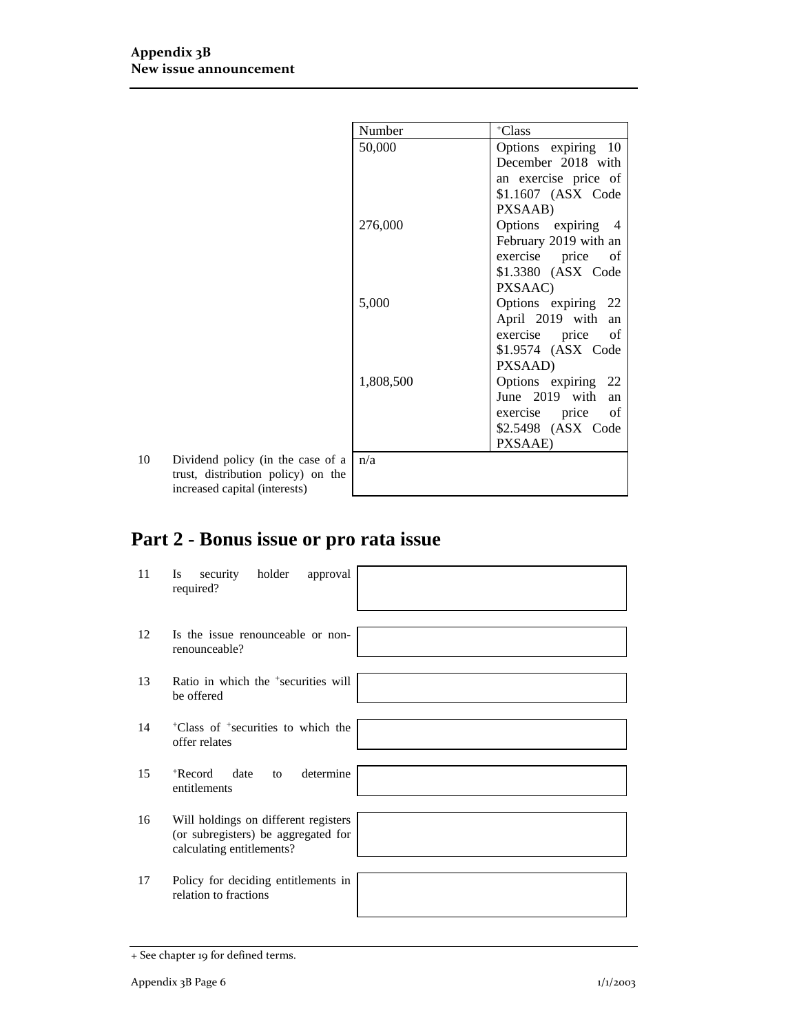|    |                                    | Number    | <sup>+</sup> Class    |
|----|------------------------------------|-----------|-----------------------|
|    |                                    | 50,000    | Options expiring 10   |
|    |                                    |           | December 2018 with    |
|    |                                    |           | an exercise price of  |
|    |                                    |           | \$1.1607 (ASX Code    |
|    |                                    |           | PXSAAB)               |
|    |                                    | 276,000   | Options expiring 4    |
|    |                                    |           | February 2019 with an |
|    |                                    |           | exercise price of     |
|    |                                    |           | \$1.3380 (ASX Code    |
|    |                                    |           | PXSAAC)               |
|    |                                    | 5,000     | Options expiring 22   |
|    |                                    |           | April 2019 with an    |
|    |                                    |           | exercise price of     |
|    |                                    |           | \$1.9574 (ASX Code    |
|    |                                    |           | PXSAAD)               |
|    |                                    | 1,808,500 | Options expiring 22   |
|    |                                    |           | June 2019 with<br>an  |
|    |                                    |           | exercise price of     |
|    |                                    |           | \$2.5498 (ASX Code    |
|    |                                    |           | PXSAAE)               |
| 10 | Dividend policy (in the case of a  | n/a       |                       |
|    | trust, distribution policy) on the |           |                       |
|    | increased capital (interests)      |           |                       |

# **Part 2 - Bonus issue or pro rata issue**

| 11 | holder<br>approval<br>security<br>Is<br>required?                                                        |  |
|----|----------------------------------------------------------------------------------------------------------|--|
|    |                                                                                                          |  |
| 12 | Is the issue renounceable or non-<br>renounceable?                                                       |  |
|    |                                                                                                          |  |
| 13 | Ratio in which the <sup>+</sup> securities will<br>be offered                                            |  |
|    |                                                                                                          |  |
| 14 | <sup>+</sup> Class of <sup>+</sup> securities to which the<br>offer relates                              |  |
|    |                                                                                                          |  |
| 15 | determine<br>$+$ Record<br>date<br>to<br>entitlements                                                    |  |
|    |                                                                                                          |  |
| 16 | Will holdings on different registers<br>(or subregisters) be aggregated for<br>calculating entitlements? |  |
|    |                                                                                                          |  |
| 17 | Policy for deciding entitlements in<br>relation to fractions                                             |  |
|    |                                                                                                          |  |

<sup>+</sup> See chapter 19 for defined terms.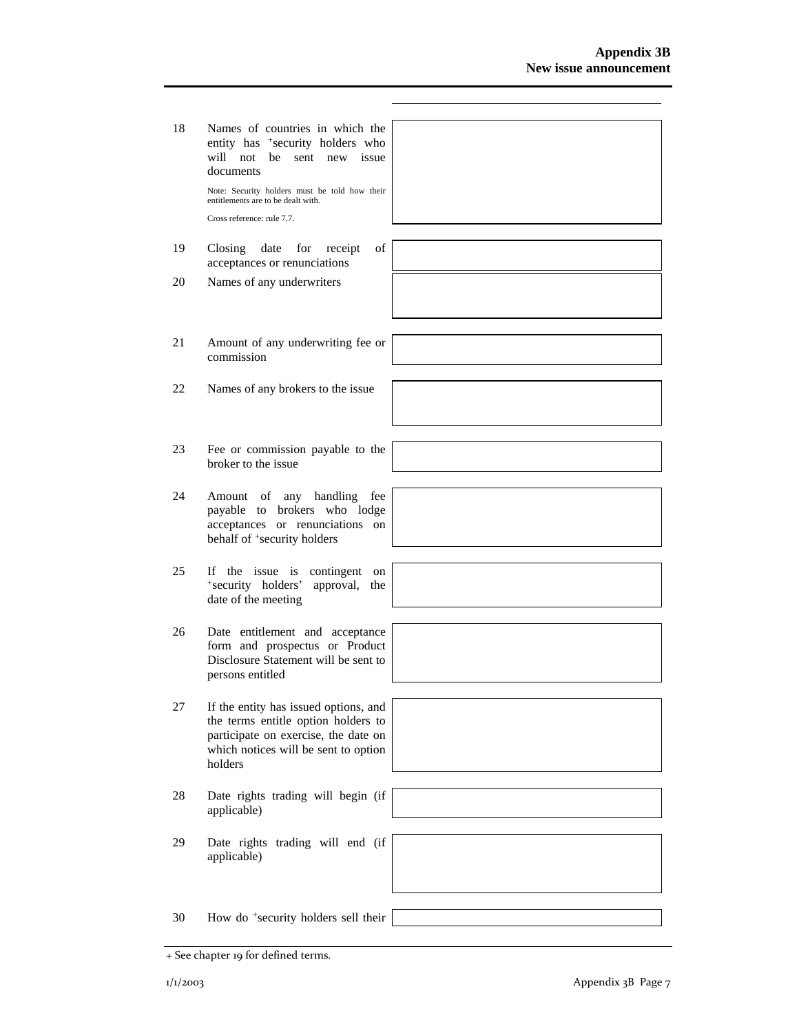| 18     | Names of countries in which the<br>entity has <sup>+</sup> security holders who<br>will not<br>be<br>sent new<br>issue<br>documents<br>Note: Security holders must be told how their<br>entitlements are to be dealt with.<br>Cross reference: rule 7.7. |  |
|--------|----------------------------------------------------------------------------------------------------------------------------------------------------------------------------------------------------------------------------------------------------------|--|
| 19     | Closing<br>date<br>of<br>for receipt<br>acceptances or renunciations                                                                                                                                                                                     |  |
| 20     | Names of any underwriters                                                                                                                                                                                                                                |  |
| 21     | Amount of any underwriting fee or<br>commission                                                                                                                                                                                                          |  |
| 22     | Names of any brokers to the issue                                                                                                                                                                                                                        |  |
| 23     | Fee or commission payable to the<br>broker to the issue                                                                                                                                                                                                  |  |
| 24     | any handling<br>Amount of<br>fee<br>payable to brokers who lodge<br>acceptances or renunciations on<br>behalf of +security holders                                                                                                                       |  |
| 25     | If the issue is<br>contingent<br>on<br>*security holders'<br>approval,<br>the<br>date of the meeting                                                                                                                                                     |  |
| 26     | Date entitlement and acceptance<br>form and prospectus or Product<br>Disclosure Statement will be sent to<br>persons entitled                                                                                                                            |  |
| $27\,$ | If the entity has issued options, and<br>the terms entitle option holders to<br>participate on exercise, the date on<br>which notices will be sent to option<br>holders                                                                                  |  |
| 28     | Date rights trading will begin (if<br>applicable)                                                                                                                                                                                                        |  |
| 29     | Date rights trading will end (if<br>applicable)                                                                                                                                                                                                          |  |
| 30     | How do <sup>+</sup> security holders sell their                                                                                                                                                                                                          |  |

<sup>+</sup> See chapter 19 for defined terms.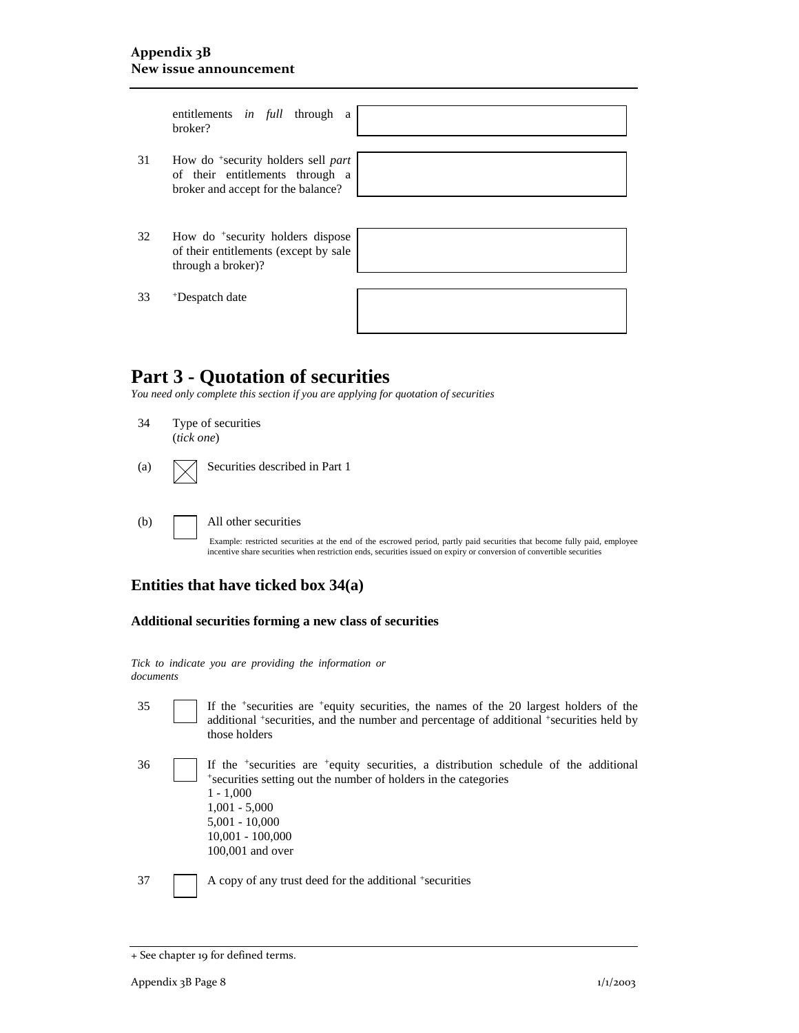|    | entitlements in full through<br>a<br>broker?                                                                            |  |
|----|-------------------------------------------------------------------------------------------------------------------------|--|
|    |                                                                                                                         |  |
| 31 | How do <sup>+</sup> security holders sell part<br>of their entitlements through a<br>broker and accept for the balance? |  |
|    |                                                                                                                         |  |
|    |                                                                                                                         |  |
| 32 | How do <sup>+</sup> security holders dispose<br>of their entitlements (except by sale<br>through a broker)?             |  |
|    |                                                                                                                         |  |
| 33 | <sup>+</sup> Despatch date                                                                                              |  |
|    |                                                                                                                         |  |

### **Part 3 - Quotation of securities**

*You need only complete this section if you are applying for quotation of securities* 

| 34                | Type of securities<br>(tick one) |
|-------------------|----------------------------------|
| $\left( a\right)$ | Securities described in Part 1   |
| (b)               | All other securities             |

Example: restricted securities at the end of the escrowed period, partly paid securities that become fully paid, employee incentive share securities when restriction ends, securities issued on expiry or conversion of convertible securities

### **Entities that have ticked box 34(a)**

#### **Additional securities forming a new class of securities**

*Tick to indicate you are providing the information or documents*

35 If the +securities are +equity securities, the names of the 20 largest holders of the additional +securities, and the number and percentage of additional +securities held by those holders

| 36 | If the <sup>+</sup> securities are <sup>+</sup> equity securities, a distribution schedule of the additional |
|----|--------------------------------------------------------------------------------------------------------------|
|    | *securities setting out the number of holders in the categories                                              |
|    | $1 - 1,000$                                                                                                  |
|    | $1,001 - 5,000$                                                                                              |
|    | $5,001 - 10,000$                                                                                             |
|    | $10,001 - 100,000$                                                                                           |
|    | $100,001$ and over                                                                                           |
|    |                                                                                                              |

37 A copy of any trust deed for the additional +securities

<sup>+</sup> See chapter 19 for defined terms.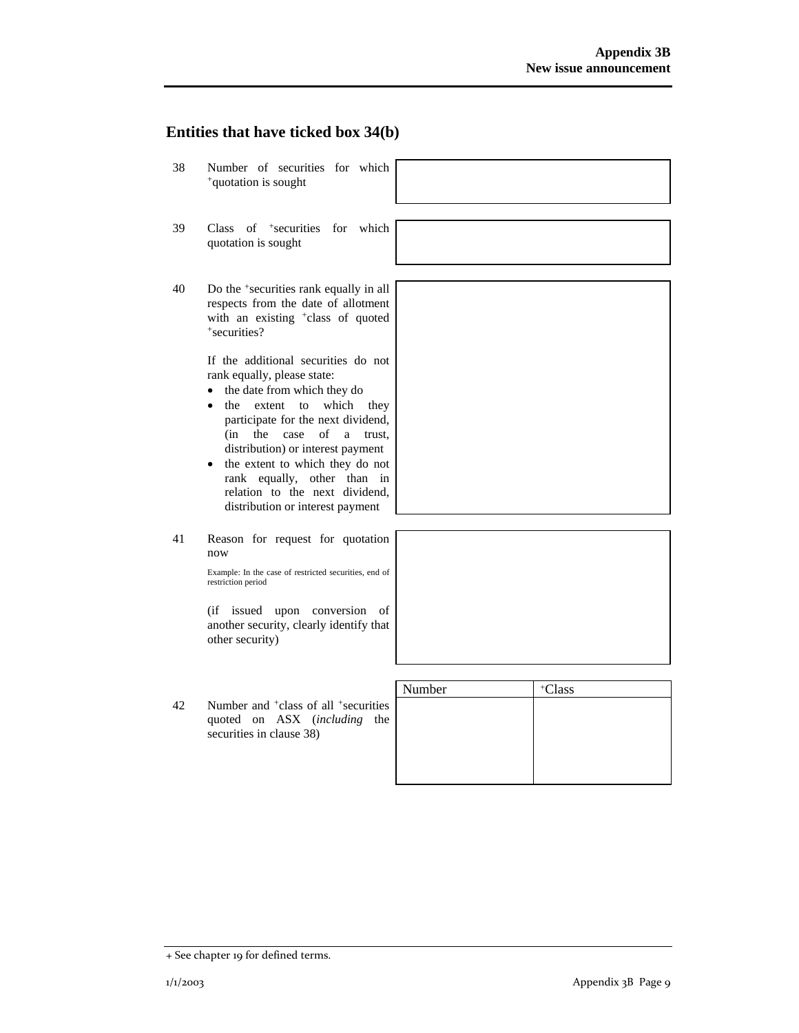### **Entities that have ticked box 34(b)**

- 38 Number of securities for which +quotation is sought
- 39 Class of +securities for which quotation is sought
- 40 Do the +securities rank equally in all respects from the date of allotment with an existing <sup>+</sup>class of quoted +securities?

If the additional securities do not rank equally, please state:

- the date from which they do
- the extent to which they participate for the next dividend, (in the case of a trust, distribution) or interest payment
- the extent to which they do not rank equally, other than in relation to the next dividend, distribution or interest payment
- 41 Reason for request for quotation now

Example: In the case of restricted securities, end of restriction period

(if issued upon conversion of another security, clearly identify that other security)

|    |                                                                                                                          | Number | <sup>+</sup> Class |
|----|--------------------------------------------------------------------------------------------------------------------------|--------|--------------------|
| 42 | Number and <sup>+</sup> class of all <sup>+</sup> securities<br>quoted on ASX (including the<br>securities in clause 38) |        |                    |
|    |                                                                                                                          |        |                    |

<sup>+</sup> See chapter 19 for defined terms.